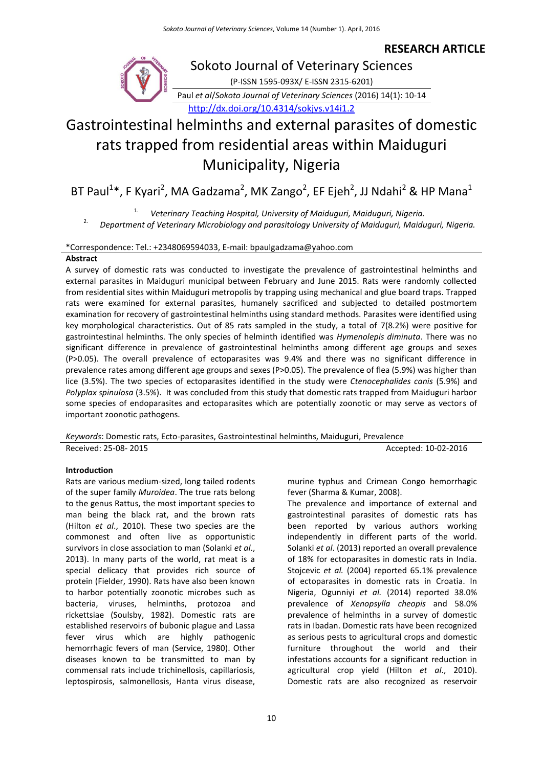## **RESEARCH ARTICLE**



## Sokoto Journal of Veterinary Sciences

(P-ISSN 1595-093X/ E-ISSN 2315-6201)

Paul *et al*/*Sokoto Journal of Veterinary Sciences* (2016) 14(1): 10-14 <http://dx.doi.org/10.4314/sokjvs.v14i1.2>

# Gastrointestinal helminths and external parasites of domestic rats trapped from residential areas within Maiduguri Municipality, Nigeria

BT Paul<sup>1</sup>\*, F Kyari<sup>2</sup>, MA Gadzama<sup>2</sup>, MK Zango<sup>2</sup>, EF Ejeh<sup>2</sup>, JJ Ndahi<sup>2</sup> & HP Mana<sup>1</sup>

1. *Veterinary Teaching Hospital, University of Maiduguri, Maiduguri, Nigeria.*

2. *Department of Veterinary Microbiology and parasitology University of Maiduguri, Maiduguri, Nigeria.*

## \*Correspondence: Tel.: +2348069594033, E-mail: bpaulgadzama@yahoo.com

## **Abstract**

A survey of domestic rats was conducted to investigate the prevalence of gastrointestinal helminths and external parasites in Maiduguri municipal between February and June 2015. Rats were randomly collected from residential sites within Maiduguri metropolis by trapping using mechanical and glue board traps. Trapped rats were examined for external parasites, humanely sacrificed and subjected to detailed postmortem examination for recovery of gastrointestinal helminths using standard methods. Parasites were identified using key morphological characteristics. Out of 85 rats sampled in the study, a total of 7(8.2%) were positive for gastrointestinal helminths. The only species of helminth identified was *Hymenolepis diminuta*. There was no significant difference in prevalence of gastrointestinal helminths among different age groups and sexes (P>0.05). The overall prevalence of ectoparasites was 9.4% and there was no significant difference in prevalence rates among different age groups and sexes (P>0.05). The prevalence of flea (5.9%) was higher than lice (3.5%). The two species of ectoparasites identified in the study were *Ctenocephalides canis* (5.9%) and *Polyplax spinulosa* (3.5%). It was concluded from this study that domestic rats trapped from Maiduguri harbor some species of endoparasites and ectoparasites which are potentially zoonotic or may serve as vectors of important zoonotic pathogens.

*Keywords*: Domestic rats, Ecto-parasites, Gastrointestinal helminths, Maiduguri, Prevalence Received: 25-08- 2015 **Accepted: 10-02-2016** 

## **Introduction**

Rats are various medium-sized, long tailed rodents of the super family *Muroidea*. The true rats belong to the genus Rattus, the most important species to man being the black rat, and the brown rats (Hilton *et al*., 2010). These two species are the commonest and often live as opportunistic survivors in close association to man (Solanki *et al*., 2013). In many parts of the world, rat meat is a special delicacy that provides rich source of protein (Fielder, 1990). Rats have also been known to harbor potentially zoonotic microbes such as bacteria, viruses, helminths, protozoa and rickettsiae (Soulsby, 1982). Domestic rats are established reservoirs of bubonic plague and Lassa fever virus which are highly pathogenic hemorrhagic fevers of man (Service, 1980). Other diseases known to be transmitted to man by commensal rats include trichinellosis, capillariosis, leptospirosis, salmonellosis, Hanta virus disease,

murine typhus and Crimean Congo hemorrhagic fever (Sharma & Kumar, 2008).

The prevalence and importance of external and gastrointestinal parasites of domestic rats has been reported by various authors working independently in different parts of the world. Solanki *et al*. (2013) reported an overall prevalence of 18% for ectoparasites in domestic rats in India. Stojcevic *et al.* (2004) reported 65.1% prevalence of ectoparasites in domestic rats in Croatia. In Nigeria, Ogunniyi *et al.* (2014) reported 38.0% prevalence of *Xenopsylla cheopis* and 58.0% prevalence of helminths in a survey of domestic rats in Ibadan. Domestic rats have been recognized as serious pests to agricultural crops and domestic furniture throughout the world and their infestations accounts for a significant reduction in agricultural crop yield (Hilton *et al*., 2010). Domestic rats are also recognized as reservoir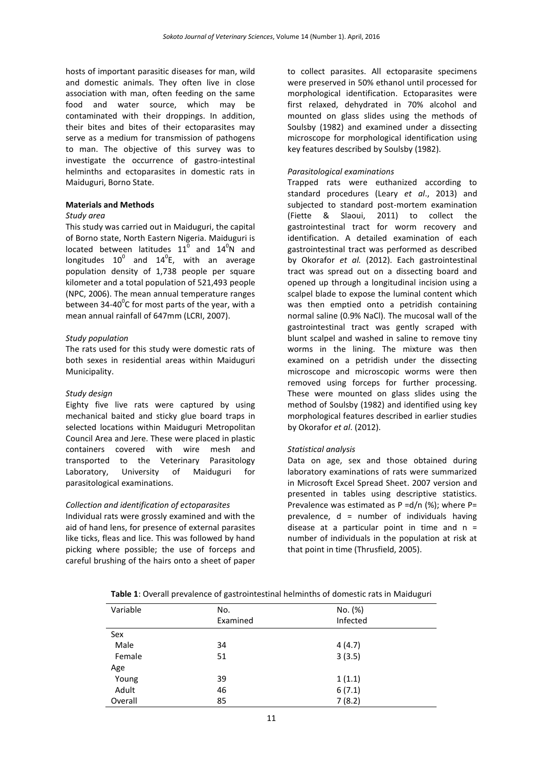hosts of important parasitic diseases for man, wild and domestic animals. They often live in close association with man, often feeding on the same food and water source, which may be contaminated with their droppings. In addition, their bites and bites of their ectoparasites may serve as a medium for transmission of pathogens to man. The objective of this survey was to investigate the occurrence of gastro-intestinal helminths and ectoparasites in domestic rats in Maiduguri, Borno State.

#### **Materials and Methods**

### *Study area*

This study was carried out in Maiduguri, the capital of Borno state, North Eastern Nigeria. Maiduguri is located between latitudes  $11^0$  and  $14^0$ N and longitudes  $10^0$  and  $14^0$ E, with an average population density of 1,738 people per square kilometer and a total population of 521,493 people (NPC, 2006). The mean annual temperature ranges between 34-40 $^0$ C for most parts of the year, with a mean annual rainfall of 647mm (LCRI, 2007).

#### *Study population*

The rats used for this study were domestic rats of both sexes in residential areas within Maiduguri Municipality.

#### *Study design*

Eighty five live rats were captured by using mechanical baited and sticky glue board traps in selected locations within Maiduguri Metropolitan Council Area and Jere. These were placed in plastic containers covered with wire mesh and transported to the Veterinary Parasitology Laboratory, University of Maiduguri for parasitological examinations.

#### *Collection and identification of ectoparasites*

Individual rats were grossly examined and with the aid of hand lens, for presence of external parasites like ticks, fleas and lice. This was followed by hand picking where possible; the use of forceps and careful brushing of the hairs onto a sheet of paper to collect parasites. All ectoparasite specimens were preserved in 50% ethanol until processed for morphological identification. Ectoparasites were first relaxed, dehydrated in 70% alcohol and mounted on glass slides using the methods of Soulsby (1982) and examined under a dissecting microscope for morphological identification using key features described by Soulsby (1982).

#### *Parasitological examinations*

Trapped rats were euthanized according to standard procedures (Leary *et al*., 2013) and subjected to standard post-mortem examination (Fiette & Slaoui, 2011) to collect the gastrointestinal tract for worm recovery and identification. A detailed examination of each gastrointestinal tract was performed as described by Okorafor *et al.* (2012). Each gastrointestinal tract was spread out on a dissecting board and opened up through a longitudinal incision using a scalpel blade to expose the luminal content which was then emptied onto a petridish containing normal saline (0.9% NaCl). The mucosal wall of the gastrointestinal tract was gently scraped with blunt scalpel and washed in saline to remove tiny worms in the lining. The mixture was then examined on a petridish under the dissecting microscope and microscopic worms were then removed using forceps for further processing. These were mounted on glass slides using the method of Soulsby (1982) and identified using key morphological features described in earlier studies by Okorafor *et al*. (2012).

#### *Statistical analysis*

Data on age, sex and those obtained during laboratory examinations of rats were summarized in Microsoft Excel Spread Sheet. 2007 version and presented in tables using descriptive statistics. Prevalence was estimated as  $P = d/n$  (%); where  $P =$ prevalence,  $d =$  number of individuals having disease at a particular point in time and  $n =$ number of individuals in the population at risk at that point in time (Thrusfield, 2005).

|  |  | Table 1: Overall prevalence of gastrointestinal helminths of domestic rats in Maiduguri |  |
|--|--|-----------------------------------------------------------------------------------------|--|
|--|--|-----------------------------------------------------------------------------------------|--|

| Variable | No.<br>Examined | No. (%)<br>Infected |  |
|----------|-----------------|---------------------|--|
| Sex      |                 |                     |  |
| Male     | 34              | 4(4.7)              |  |
| Female   | 51              | 3(3.5)              |  |
| Age      |                 |                     |  |
| Young    | 39              | 1(1.1)              |  |
| Adult    | 46              | 6(7.1)              |  |
| Overall  | 85              | 7(8.2)              |  |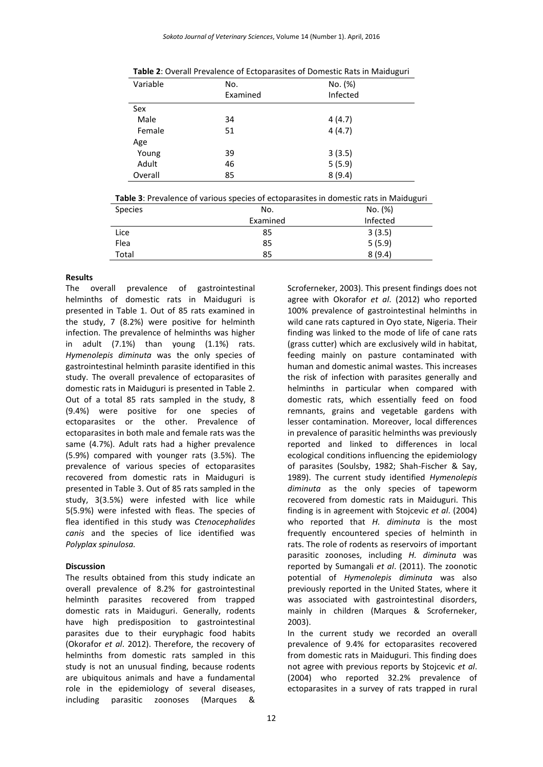| Variable | No.      | No. (%)  |  |
|----------|----------|----------|--|
|          | Examined | Infected |  |
| Sex      |          |          |  |
| Male     | 34       | 4(4.7)   |  |
| Female   | 51       | 4(4.7)   |  |
| Age      |          |          |  |
| Young    | 39       | 3(3.5)   |  |
| Adult    | 46       | 5(5.9)   |  |
| Overall  | 85       | 8(9.4)   |  |

**Table 2**: Overall Prevalence of Ectoparasites of Domestic Rats in Maiduguri

**Table 3**: Prevalence of various species of ectoparasites in domestic rats in Maiduguri

| <b>Species</b> | No.      | No. (%)  |
|----------------|----------|----------|
|                | Examined | Infected |
| Lice           | 85       | 3(3.5)   |
| Flea           | 85       | 5(5.9)   |
| Total          | 85       | 8(9.4)   |

#### **Results**

The overall prevalence of gastrointestinal helminths of domestic rats in Maiduguri is presented in Table 1. Out of 85 rats examined in the study, 7 (8.2%) were positive for helminth infection. The prevalence of helminths was higher in adult (7.1%) than young (1.1%) rats. *Hymenolepis diminuta* was the only species of gastrointestinal helminth parasite identified in this study. The overall prevalence of ectoparasites of domestic rats in Maiduguri is presented in Table 2. Out of a total 85 rats sampled in the study, 8 (9.4%) were positive for one species of ectoparasites or the other. Prevalence of ectoparasites in both male and female rats was the same (4.7%). Adult rats had a higher prevalence (5.9%) compared with younger rats (3.5%). The prevalence of various species of ectoparasites recovered from domestic rats in Maiduguri is presented in Table 3. Out of 85 rats sampled in the study, 3(3.5%) were infested with lice while 5(5.9%) were infested with fleas. The species of flea identified in this study was *Ctenocephalides canis* and the species of lice identified was *Polyplax spinulosa.*

#### **Discussion**

The results obtained from this study indicate an overall prevalence of 8.2% for gastrointestinal helminth parasites recovered from trapped domestic rats in Maiduguri. Generally, rodents have high predisposition to gastrointestinal parasites due to their euryphagic food habits (Okorafor *et al*. 2012). Therefore, the recovery of helminths from domestic rats sampled in this study is not an unusual finding, because rodents are ubiquitous animals and have a fundamental role in the epidemiology of several diseases, including parasitic zoonoses (Marques &

Scroferneker, 2003). This present findings does not agree with Okorafor *et al*. (2012) who reported 100% prevalence of gastrointestinal helminths in wild cane rats captured in Oyo state, Nigeria. Their finding was linked to the mode of life of cane rats (grass cutter) which are exclusively wild in habitat, feeding mainly on pasture contaminated with human and domestic animal wastes. This increases the risk of infection with parasites generally and helminths in particular when compared with domestic rats, which essentially feed on food remnants, grains and vegetable gardens with lesser contamination. Moreover, local differences in prevalence of parasitic helminths was previously reported and linked to differences in local ecological conditions influencing the epidemiology of parasites (Soulsby, 1982; Shah-Fischer & Say, 1989). The current study identified *Hymenolepis diminuta* as the only species of tapeworm recovered from domestic rats in Maiduguri. This finding is in agreement with Stojcevic *et al*. (2004) who reported that *H. diminuta* is the most frequently encountered species of helminth in rats. The role of rodents as reservoirs of important parasitic zoonoses, including *H. diminuta* was reported by Sumangali *et al*. (2011). The zoonotic potential of *Hymenolepis diminuta* was also previously reported in the United States, where it was associated with gastrointestinal disorders, mainly in children (Marques & Scroferneker, 2003).

In the current study we recorded an overall prevalence of 9.4% for ectoparasites recovered from domestic rats in Maiduguri. This finding does not agree with previous reports by Stojcevic *et al*. (2004) who reported 32.2% prevalence of ectoparasites in a survey of rats trapped in rural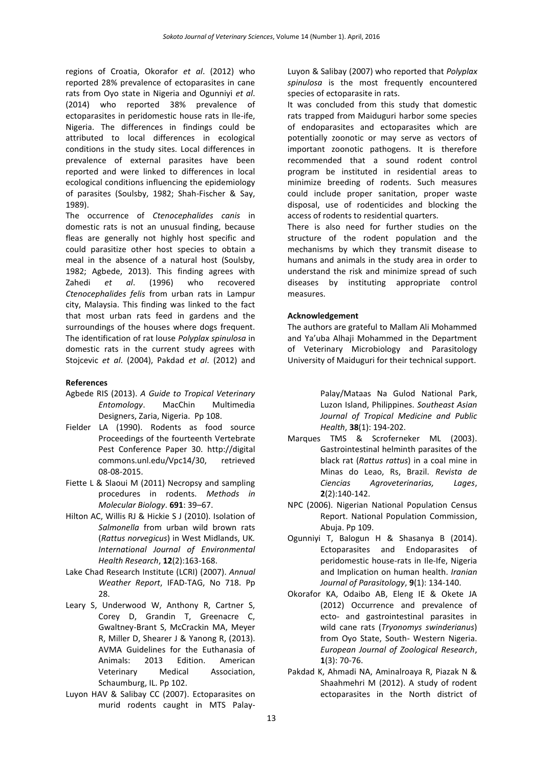regions of Croatia, Okorafor *et al*. (2012) who reported 28% prevalence of ectoparasites in cane rats from Oyo state in Nigeria and Ogunniyi *et al*. (2014) who reported 38% prevalence of ectoparasites in peridomestic house rats in Ile-ife, Nigeria. The differences in findings could be attributed to local differences in ecological conditions in the study sites. Local differences in prevalence of external parasites have been reported and were linked to differences in local ecological conditions influencing the epidemiology of parasites (Soulsby, 1982; Shah-Fischer & Say, 1989).

The occurrence of *Ctenocephalides canis* in domestic rats is not an unusual finding, because fleas are generally not highly host specific and could parasitize other host species to obtain a meal in the absence of a natural host (Soulsby, 1982; Agbede, 2013). This finding agrees with Zahedi *et al*. (1996) who recovered *Ctenocephalides felis* from urban rats in Lampur city, Malaysia. This finding was linked to the fact that most urban rats feed in gardens and the surroundings of the houses where dogs frequent. The identification of rat louse *Polyplax spinulosa* in domestic rats in the current study agrees with Stojcevic *et al*. (2004), Pakdad *et al*. (2012) and

#### **References**

- Agbede RIS (2013). *A Guide to Tropical Veterinary Entomology*. MacChin Multimedia Designers, Zaria, Nigeria. Pp 108.
- Fielder LA (1990). Rodents as food source Proceedings of the fourteenth Vertebrate Pest Conference Paper 30. http://digital commons.unl.edu/Vpc14/30, retrieved 08-08-2015.
- Fiette L & Slaoui M (2011) Necropsy and sampling procedures in rodents. *Methods in Molecular Biology*. **691**: 39–67.
- Hilton AC, Willis RJ & Hickie S J (2010). Isolation of *Salmonella* from urban wild brown rats (*Rattus norvegicus*) in West Midlands, UK*. International Journal of Environmental Health Research*, **12**(2):163-168.
- Lake Chad Research Institute (LCRI) (2007). *Annual Weather Report*, IFAD-TAG, No 718. Pp 28.
- Leary S, Underwood W, Anthony R, Cartner S, Corey D, Grandin T, Greenacre C, Gwaltney-Brant S, McCrackin MA, Meyer R, Miller D, Shearer J & Yanong R, (2013). AVMA Guidelines for the Euthanasia of Animals: 2013 Edition. American Veterinary Medical Association, Schaumburg, IL. Pp 102.
- Luyon HAV & Salibay CC (2007). Ectoparasites on murid rodents caught in MTS Palay-

Luyon & Salibay (2007) who reported that *Polyplax spinulosa* is the most frequently encountered species of ectoparasite in rats.

It was concluded from this study that domestic rats trapped from Maiduguri harbor some species of endoparasites and ectoparasites which are potentially zoonotic or may serve as vectors of important zoonotic pathogens. It is therefore recommended that a sound rodent control program be instituted in residential areas to minimize breeding of rodents. Such measures could include proper sanitation, proper waste disposal, use of rodenticides and blocking the access of rodents to residential quarters.

There is also need for further studies on the structure of the rodent population and the mechanisms by which they transmit disease to humans and animals in the study area in order to understand the risk and minimize spread of such diseases by instituting appropriate control measures.

#### **Acknowledgement**

The authors are grateful to Mallam Ali Mohammed and Ya'uba Alhaji Mohammed in the Department of Veterinary Microbiology and Parasitology University of Maiduguri for their technical support.

> Palay/Mataas Na Gulod National Park, Luzon Island, Philippines. *Southeast Asian Journal of Tropical Medicine and Public Health*, **38**(1): 194-202.

- Marques TMS & Scroferneker ML (2003). Gastrointestinal helminth parasites of the black rat (*Rattus rattus*) in a coal mine in Minas do Leao, Rs, Brazil. *Revista de Ciencias Agroveterinarias, Lages*, **2**(2):140-142.
- NPC (2006). Nigerian National Population Census Report. National Population Commission, Abuja. Pp 109.
- Ogunniyi T, Balogun H & Shasanya B (2014). Ectoparasites and Endoparasites of peridomestic house-rats in Ile-Ife, Nigeria and Implication on human health. *Iranian Journal of Parasitology*, **9**(1): 134-140.
- Okorafor KA, Odaibo AB, Eleng IE & Okete JA (2012) Occurrence and prevalence of ecto- and gastrointestinal parasites in wild cane rats (*Tryonomys swinderianus*) from Oyo State, South- Western Nigeria. *European Journal of Zoological Research*, **1**(3): 70-76.
- Pakdad K, Ahmadi NA, Aminalroaya R, Piazak N & Shaahmehri M (2012). A study of rodent ectoparasites in the North district of